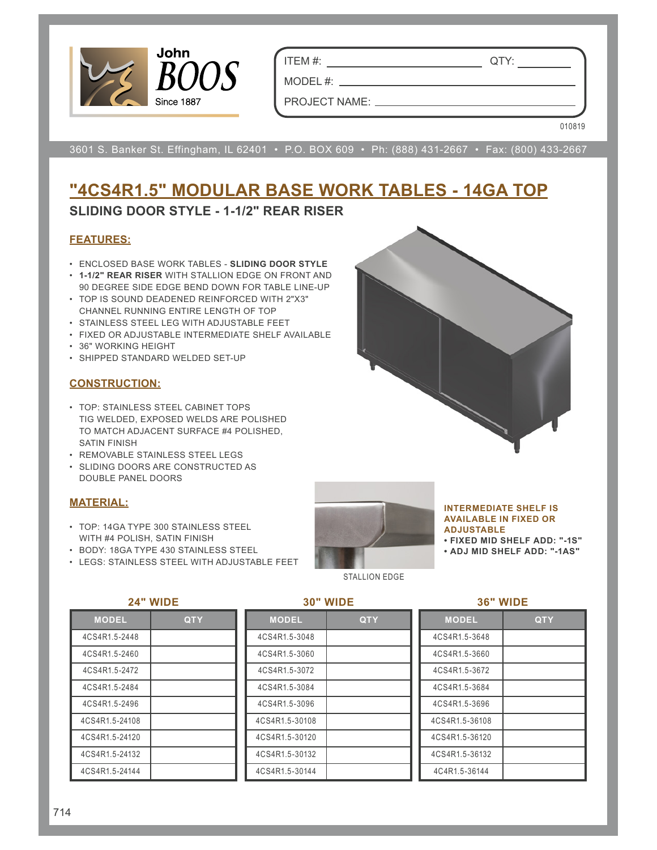

ITEM #: QTY:

MODEL #:

PROJECT NAME:

010819

3601 S. Banker St. Effingham, IL 62401 • P.O. BOX 609 • Ph: (888) 431-2667 • Fax: (800) 433-2667

# **"4CS4R1.5" MODULAR BASE WORK TABLES - 14GA TOP**

# **SLIDING DOOR STYLE - 1-1/2" REAR RISER**

# **FEATURES:**

- ENCLOSED BASE WORK TABLES **SLIDING DOOR STYLE**
- **1-1/2" REAR RISER** WITH STALLION EDGE ON FRONT AND 90 DEGREE SIDE EDGE BEND DOWN FOR TABLE LINE-UP
- TOP IS SOUND DEADENED REINFORCED WITH 2"X3" CHANNEL RUNNING ENTIRE LENGTH OF TOP
- STAINLESS STEEL LEG WITH ADJUSTABLE FEET
- FIXED OR ADJUSTABLE INTERMEDIATE SHELF AVAILABLE
- 36" WORKING HEIGHT
- SHIPPED STANDARD WELDED SET-UP

# **CONSTRUCTION:**

- TOP: STAINLESS STEEL CABINET TOPS TIG WELDED, EXPOSED WELDS ARE POLISHED TO MATCH ADJACENT SURFACE #4 POLISHED, SATIN FINISH
- REMOVABLE STAINLESS STEEL LEGS
- SLIDING DOORS ARE CONSTRUCTED AS DOUBLE PANEL DOORS

# **MATERIAL:**

- TOP: 14GA TYPE 300 STAINLESS STEEL WITH #4 POLISH, SATIN FINISH
- BODY: 18GA TYPE 430 STAINLESS STEEL

**24" WIDE**

• LEGS: STAINLESS STEEL WITH ADJUSTABLE FEET



#### **INTERMEDIATE SHELF IS AVAILABLE IN FIXED OR ADJUSTABLE**

- **FIXED MID SHELF ADD: "-1S"**
- **ADJ MID SHELF ADD: "-1AS"**

STALLION EDGE

#### **36" WIDE**

| ∠⊷             | <b>VVIDE</b> |
|----------------|--------------|
| <b>MODEL</b>   | <b>QTY</b>   |
| 4CS4R1.5-2448  |              |
| 4CS4R1.5-2460  |              |
| 4CS4R1.5-2472  |              |
| 4CS4R1.5-2484  |              |
| 4CS4R1.5-2496  |              |
| 4CS4R1.5-24108 |              |
| 4CS4R1.5-24120 |              |
| 4CS4R1.5-24132 |              |
| 4CS4R1.5-24144 |              |

# **30" WIDE**

| <b>MODEL</b>   | QTY |
|----------------|-----|
| 4CS4R1.5-3048  |     |
| 4CS4R1.5-3060  |     |
| 4CS4R1.5-3072  |     |
| 4CS4R1.5-3084  |     |
| 4CS4R1.5-3096  |     |
| 4CS4R1.5-30108 |     |
| 4CS4R1.5-30120 |     |
| 4CS4R1.5-30132 |     |
| 4CS4R1.5-30144 |     |

| <b>MODEL</b>   | QTY |
|----------------|-----|
| 4CS4R1.5-3648  |     |
| 4CS4R1.5-3660  |     |
| 4CS4R1.5-3672  |     |
| 4CS4R1.5-3684  |     |
| 4CS4R1.5-3696  |     |
| 4CS4R1.5-36108 |     |
| 4CS4R1.5-36120 |     |
| 4CS4R1.5-36132 |     |
| 4C4R1.5-36144  |     |

### 714